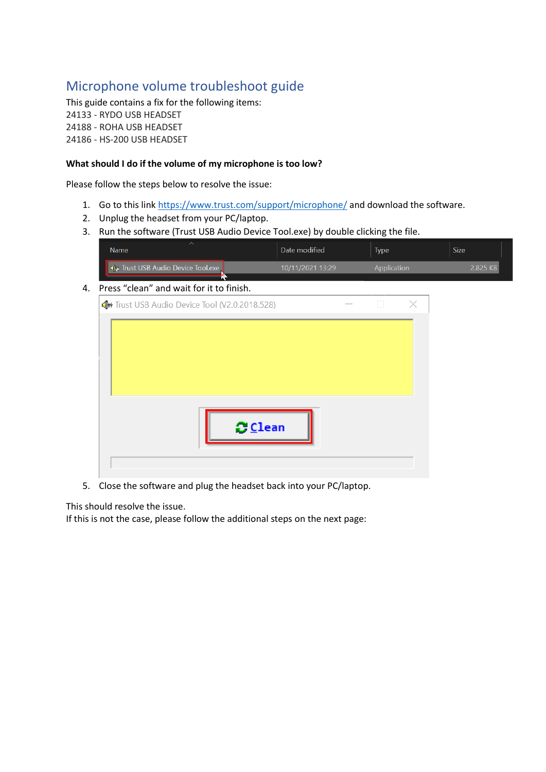# Microphone volume troubleshoot guide

This guide contains a fix for the following items: 24133 - RYDO USB HEADSET 24188 - ROHA USB HEADSET 24186 - HS-200 USB HEADSET

### **What should I do if the volume of my microphone is too low?**

Please follow the steps below to resolve the issue:

- 1. Go to this link<https://www.trust.com/support/microphone/> and download the software.
- 2. Unplug the headset from your PC/laptop.
- 3. Run the software (Trust USB Audio Device Tool.exe) by double clicking the file.

|                                                         | <b>Type</b> | <b>Size</b> |
|---------------------------------------------------------|-------------|-------------|
| ■ ↓ Trust USB Audio Device Tool.exe<br>10/11/2021 13:29 | Application | 2 825 KB I  |

## 4. Press "clean" and wait for it to finish.

| 4+ Trust USB Audio Device Tool (V2.0.2018.528) |               |  | X |
|------------------------------------------------|---------------|--|---|
|                                                |               |  |   |
|                                                | <b>ごClean</b> |  |   |

5. Close the software and plug the headset back into your PC/laptop.

This should resolve the issue.

If this is not the case, please follow the additional steps on the next page: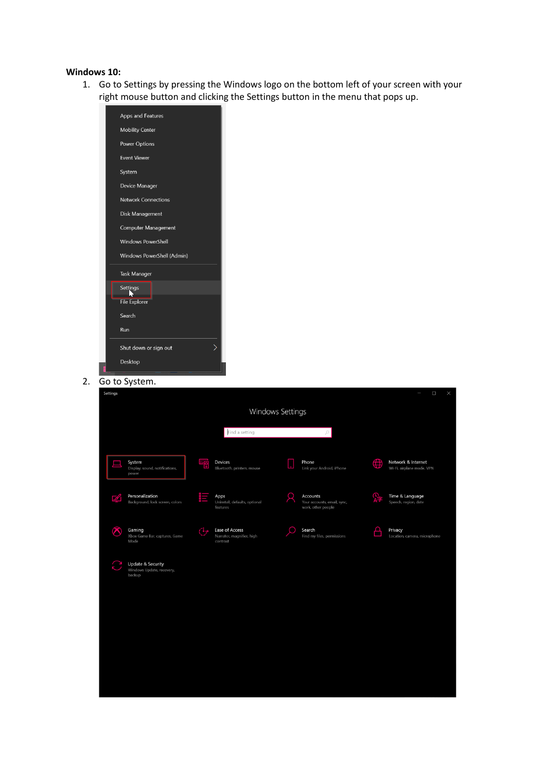#### **Windows 10:**

1. Go to Settings by pressing the Windows logo on the bottom left of your screen with your right mouse button and clicking the Settings button in the menu that pops up.

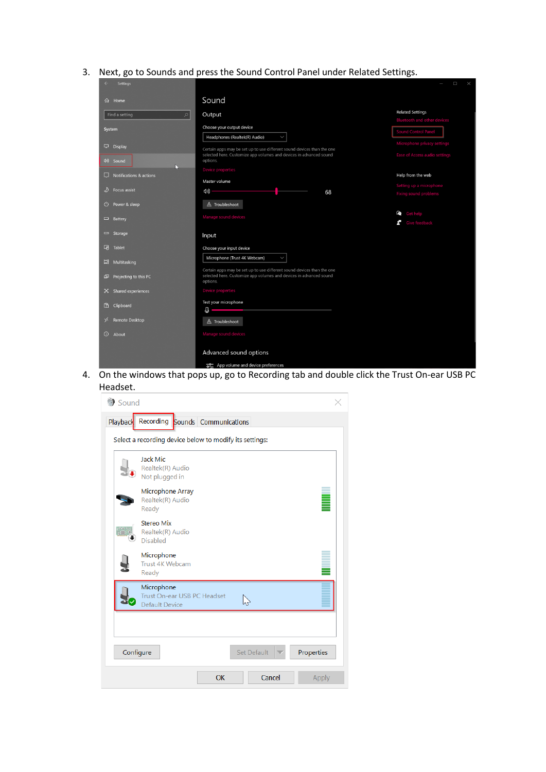3. Next, go to Sounds and press the Sound Control Panel under Related Settings.

| <b>Settings</b>             |                                                                                                                                              | $\Box$<br>$\times$                                      |
|-----------------------------|----------------------------------------------------------------------------------------------------------------------------------------------|---------------------------------------------------------|
| d Home                      | Sound                                                                                                                                        |                                                         |
| $\varphi$<br>Find a setting | Output                                                                                                                                       | <b>Related Settings</b>                                 |
|                             |                                                                                                                                              | <b>Bluetooth and other devices</b>                      |
| System                      | Choose your output device<br>$\checkmark$                                                                                                    | Sound Control Panel                                     |
|                             | Headphones (Realtek(R) Audio)                                                                                                                | Microphone privacy settings                             |
| $\Box$ Display              | Certain apps may be set up to use different sound devices than the one<br>selected here. Customize app volumes and devices in advanced sound | Ease of Access audio settings                           |
| (1) Sound                   | options.                                                                                                                                     |                                                         |
| □                           | <b>Device properties</b>                                                                                                                     | Help from the web                                       |
| Notifications & actions     | Master volume                                                                                                                                |                                                         |
| D<br><b>Focus assist</b>    | (小)<br>68                                                                                                                                    | Setting up a microphone<br><b>Fixing sound problems</b> |
|                             |                                                                                                                                              |                                                         |
| $\bigcirc$ Power & sleep    | $\triangle$ Troubleshoot                                                                                                                     |                                                         |
| $\Box$ Battery              | Manage sound devices                                                                                                                         | Get help<br>Give feedback                               |
|                             |                                                                                                                                              |                                                         |
| Storage                     | Input                                                                                                                                        |                                                         |
| 叼<br>Tablet                 | Choose your input device                                                                                                                     |                                                         |
| 目 Multitasking              | Microphone (Trust 4K Webcam)<br>$\checkmark$                                                                                                 |                                                         |
|                             | Certain apps may be set up to use different sound devices than the one                                                                       |                                                         |
| Fojecting to this PC        | selected here. Customize app volumes and devices in advanced sound                                                                           |                                                         |
|                             | options.<br><b>Device properties</b>                                                                                                         |                                                         |
| % Shared experiences        |                                                                                                                                              |                                                         |
| <b>曲</b> Clipboard          | Test your microphone<br>J                                                                                                                    |                                                         |
|                             |                                                                                                                                              |                                                         |
| <b>Remote Desktop</b><br>у≤ | $\triangle$ Troubleshoot                                                                                                                     |                                                         |
| $\odot$<br>About            | Manage sound devices                                                                                                                         |                                                         |
|                             |                                                                                                                                              |                                                         |
|                             | Advanced sound options                                                                                                                       |                                                         |
|                             | App volume and device preferences                                                                                                            |                                                         |

4. On the windows that pops up, go to Recording tab and double click the Trust On-ear USB PC Headset.

| Sound                                                                   |  |  |  |  |
|-------------------------------------------------------------------------|--|--|--|--|
| Recording Sounds Communications<br>Playback                             |  |  |  |  |
| Select a recording device below to modify its settings:                 |  |  |  |  |
| Jack Mic<br>Realtek(R) Audio<br>Not plugged in                          |  |  |  |  |
| Microphone Array<br>Realtek(R) Audio<br>Ready                           |  |  |  |  |
| <b>Stereo Mix</b><br>Realtek(R) Audio<br><b>Disabled</b>                |  |  |  |  |
| Microphone<br>Trust 4K Webcam<br>Ready                                  |  |  |  |  |
| Microphone<br>Trust On-ear USB PC Headset<br>グ<br><b>Default Device</b> |  |  |  |  |
|                                                                         |  |  |  |  |
| Set Default<br>Configure<br>Properties                                  |  |  |  |  |
| OK<br>Cancel<br>Apply                                                   |  |  |  |  |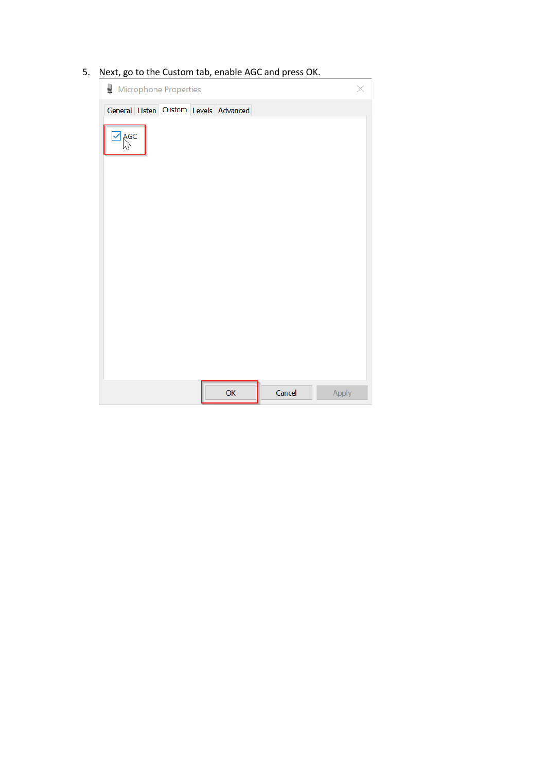## 5. Next, go to the Custom tab, enable AGC and press OK.

| Microphone Properties                 |  |
|---------------------------------------|--|
| General Listen Custom Levels Advanced |  |
| $\overline{\mathsf{C}}$ AGC           |  |
|                                       |  |
| <b>OK</b><br>Cancel<br>Apply          |  |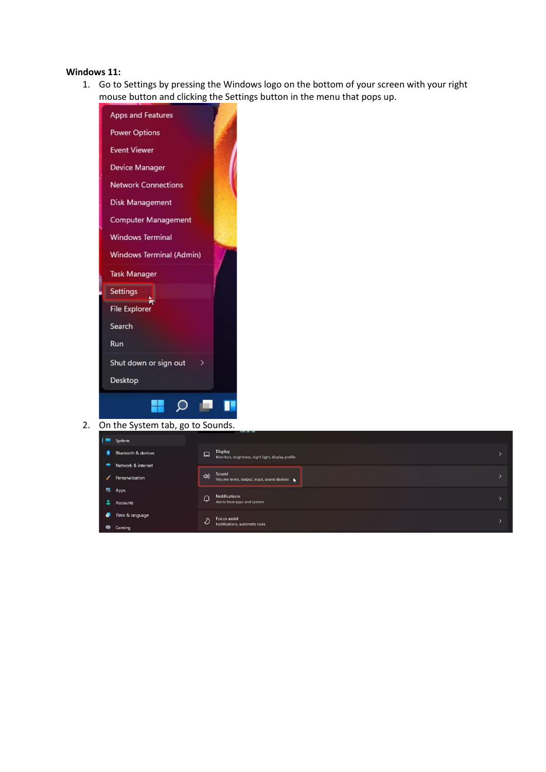#### **Windows 11:**

1. Go to Settings by pressing the Windows logo on the bottom of your screen with your right mouse button and clicking the Settings button in the menu that pops up.



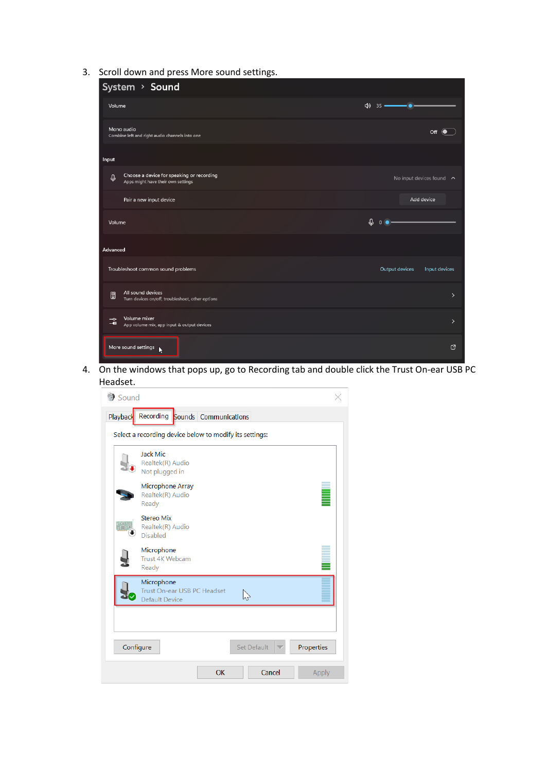3. Scroll down and press More sound settings.

| System > Sound                                                                                           |                                      |
|----------------------------------------------------------------------------------------------------------|--------------------------------------|
| Volume                                                                                                   | ۰۰                                   |
| Mono audio<br>Combine left and right audio channels into one                                             | $\circ$ $\bullet$                    |
| Input                                                                                                    |                                      |
| Choose a device for speaking or recording<br>$\mathbf{\varrho}$<br>Apps might have their own settings    | No input devices found $\sim$        |
| Pair a new input device                                                                                  | Add device                           |
| Volume                                                                                                   | $\mathfrak{g}$ $\circ$ $\bullet$ $-$ |
| Advanced                                                                                                 |                                      |
| Troubleshoot common sound problems                                                                       | Output devices<br>Input devices      |
| All sound devices<br>0<br>Turn devices on/off, troubleshoot, other options                               | $\mathcal{P}$                        |
| Volume mixer<br>$\overline{\phantom{a}}$<br>$-$ <b>4</b> )<br>App volume mix, app input & output devices | $\mathbf{\lambda}$                   |
| More sound settings<br>Ŋ                                                                                 | <b>Z</b>                             |

4. On the windows that pops up, go to Recording tab and double click the Trust On-ear USB PC Headset.

| Sound                                                                              |  |  |  |  |  |
|------------------------------------------------------------------------------------|--|--|--|--|--|
| Playback Recording Sounds Communications                                           |  |  |  |  |  |
| Select a recording device below to modify its settings:                            |  |  |  |  |  |
| Jack Mic<br>Realtek(R) Audio<br>Not plugged in                                     |  |  |  |  |  |
| Microphone Array<br>Realtek(R) Audio<br>Ready                                      |  |  |  |  |  |
| <b>Stereo Mix</b><br>Realtek(R) Audio<br><b>Disabled</b>                           |  |  |  |  |  |
| Microphone<br>Trust 4K Webcam<br>Ready                                             |  |  |  |  |  |
| Microphone<br>Trust On-ear USB PC Headset<br>$\heartsuit$<br><b>Default Device</b> |  |  |  |  |  |
|                                                                                    |  |  |  |  |  |
| <b>Set Default</b><br>Configure<br>Properties                                      |  |  |  |  |  |
| Cancel<br>OK<br>Apply                                                              |  |  |  |  |  |